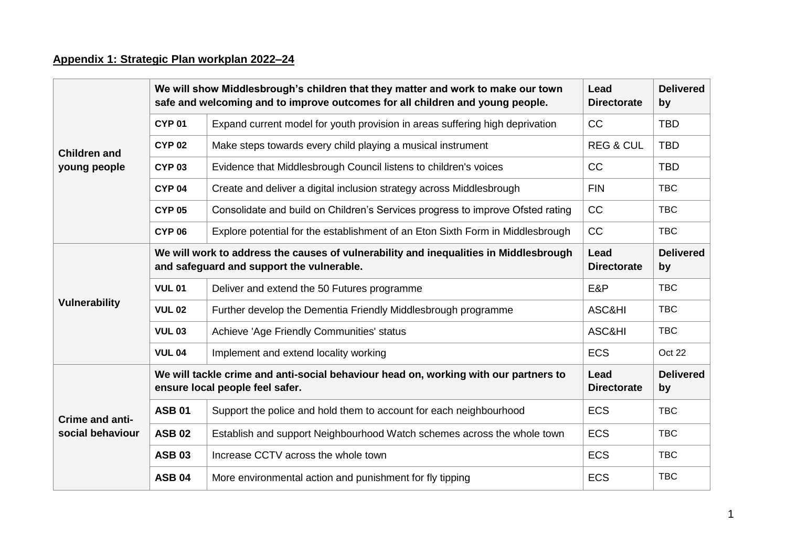## **Appendix 1: Strategic Plan workplan 2022–24**

| <b>Children and</b><br>young people | We will show Middlesbrough's children that they matter and work to make our town<br>safe and welcoming and to improve outcomes for all children and young people. |                                                                                | Lead<br><b>Directorate</b> | <b>Delivered</b><br>by |
|-------------------------------------|-------------------------------------------------------------------------------------------------------------------------------------------------------------------|--------------------------------------------------------------------------------|----------------------------|------------------------|
|                                     | <b>CYP 01</b>                                                                                                                                                     | Expand current model for youth provision in areas suffering high deprivation   | <b>CC</b>                  | <b>TBD</b>             |
|                                     | <b>CYP 02</b>                                                                                                                                                     | Make steps towards every child playing a musical instrument                    | <b>REG &amp; CUL</b>       | <b>TBD</b>             |
|                                     | <b>CYP 03</b>                                                                                                                                                     | Evidence that Middlesbrough Council listens to children's voices               | <b>CC</b>                  | <b>TBD</b>             |
|                                     | <b>CYP 04</b>                                                                                                                                                     | Create and deliver a digital inclusion strategy across Middlesbrough           | <b>FIN</b>                 | <b>TBC</b>             |
|                                     | <b>CYP 05</b>                                                                                                                                                     | Consolidate and build on Children's Services progress to improve Ofsted rating | CC                         | <b>TBC</b>             |
|                                     | <b>CYP 06</b>                                                                                                                                                     | Explore potential for the establishment of an Eton Sixth Form in Middlesbrough | CC                         | <b>TBC</b>             |
| <b>Vulnerability</b>                | We will work to address the causes of vulnerability and inequalities in Middlesbrough<br>and safeguard and support the vulnerable.                                |                                                                                | Lead<br><b>Directorate</b> | <b>Delivered</b><br>by |
|                                     | <b>VUL 01</b>                                                                                                                                                     | Deliver and extend the 50 Futures programme                                    | E&P                        | <b>TBC</b>             |
|                                     | <b>VUL 02</b>                                                                                                                                                     | Further develop the Dementia Friendly Middlesbrough programme                  | ASC&HI                     | <b>TBC</b>             |
|                                     | <b>VUL 03</b>                                                                                                                                                     | Achieve 'Age Friendly Communities' status                                      | ASC&HI                     | <b>TBC</b>             |
|                                     | <b>VUL 04</b>                                                                                                                                                     | Implement and extend locality working                                          | <b>ECS</b>                 | Oct 22                 |
| Crime and anti-<br>social behaviour | We will tackle crime and anti-social behaviour head on, working with our partners to<br>ensure local people feel safer.                                           |                                                                                | Lead<br><b>Directorate</b> | <b>Delivered</b><br>by |
|                                     | <b>ASB 01</b>                                                                                                                                                     | Support the police and hold them to account for each neighbourhood             | <b>ECS</b>                 | <b>TBC</b>             |
|                                     | <b>ASB 02</b>                                                                                                                                                     | Establish and support Neighbourhood Watch schemes across the whole town        | <b>ECS</b>                 | <b>TBC</b>             |
|                                     | <b>ASB 03</b>                                                                                                                                                     | Increase CCTV across the whole town                                            | <b>ECS</b>                 | <b>TBC</b>             |
|                                     | <b>ASB 04</b>                                                                                                                                                     | More environmental action and punishment for fly tipping                       | <b>ECS</b>                 | <b>TBC</b>             |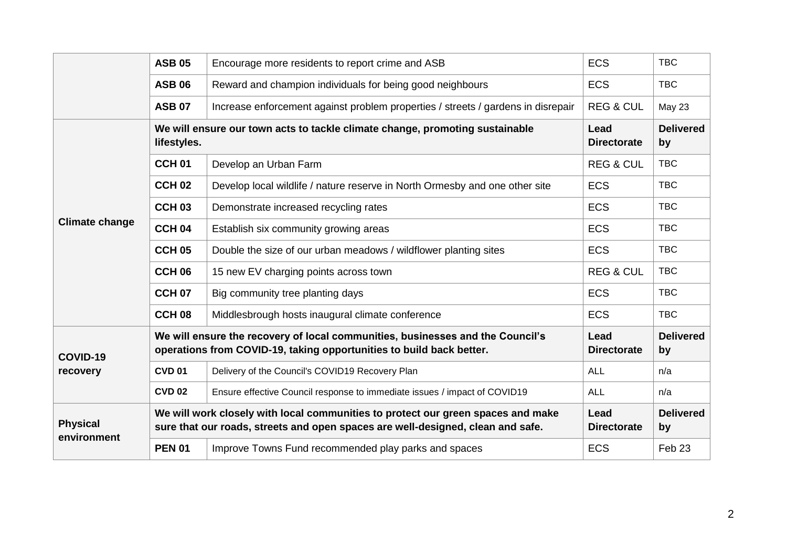|                                | <b>ASB 05</b>                                                                                                                                                       | Encourage more residents to report crime and ASB                                 | <b>ECS</b>                 | <b>TBC</b>             |
|--------------------------------|---------------------------------------------------------------------------------------------------------------------------------------------------------------------|----------------------------------------------------------------------------------|----------------------------|------------------------|
|                                | <b>ASB 06</b>                                                                                                                                                       | Reward and champion individuals for being good neighbours                        | <b>ECS</b>                 | <b>TBC</b>             |
|                                | <b>ASB 07</b>                                                                                                                                                       | Increase enforcement against problem properties / streets / gardens in disrepair | <b>REG &amp; CUL</b>       | <b>May 23</b>          |
| <b>Climate change</b>          | We will ensure our town acts to tackle climate change, promoting sustainable<br>lifestyles.                                                                         |                                                                                  | Lead<br><b>Directorate</b> | <b>Delivered</b><br>by |
|                                | CCH <sub>01</sub>                                                                                                                                                   | Develop an Urban Farm                                                            | <b>REG &amp; CUL</b>       | <b>TBC</b>             |
|                                | <b>CCH 02</b>                                                                                                                                                       | Develop local wildlife / nature reserve in North Ormesby and one other site      | <b>ECS</b>                 | <b>TBC</b>             |
|                                | <b>CCH 03</b>                                                                                                                                                       | Demonstrate increased recycling rates                                            | <b>ECS</b>                 | <b>TBC</b>             |
|                                | CCH <sub>04</sub>                                                                                                                                                   | Establish six community growing areas                                            | <b>ECS</b>                 | <b>TBC</b>             |
|                                | <b>CCH 05</b>                                                                                                                                                       | Double the size of our urban meadows / wildflower planting sites                 | <b>ECS</b>                 | <b>TBC</b>             |
|                                | CCH <sub>06</sub>                                                                                                                                                   | 15 new EV charging points across town                                            | <b>REG &amp; CUL</b>       | <b>TBC</b>             |
|                                | <b>CCH 07</b>                                                                                                                                                       | Big community tree planting days                                                 | <b>ECS</b>                 | <b>TBC</b>             |
|                                | CCH <sub>08</sub>                                                                                                                                                   | Middlesbrough hosts inaugural climate conference                                 | <b>ECS</b>                 | <b>TBC</b>             |
| COVID-19<br>recovery           | We will ensure the recovery of local communities, businesses and the Council's<br>operations from COVID-19, taking opportunities to build back better.              |                                                                                  | Lead<br><b>Directorate</b> | <b>Delivered</b><br>by |
|                                | <b>CVD 01</b>                                                                                                                                                       | Delivery of the Council's COVID19 Recovery Plan                                  | <b>ALL</b>                 | n/a                    |
|                                | <b>CVD 02</b>                                                                                                                                                       | Ensure effective Council response to immediate issues / impact of COVID19        | <b>ALL</b>                 | n/a                    |
| <b>Physical</b><br>environment | We will work closely with local communities to protect our green spaces and make<br>sure that our roads, streets and open spaces are well-designed, clean and safe. |                                                                                  | Lead<br><b>Directorate</b> | <b>Delivered</b><br>by |
|                                | <b>PEN 01</b>                                                                                                                                                       | Improve Towns Fund recommended play parks and spaces                             | <b>ECS</b>                 | Feb 23                 |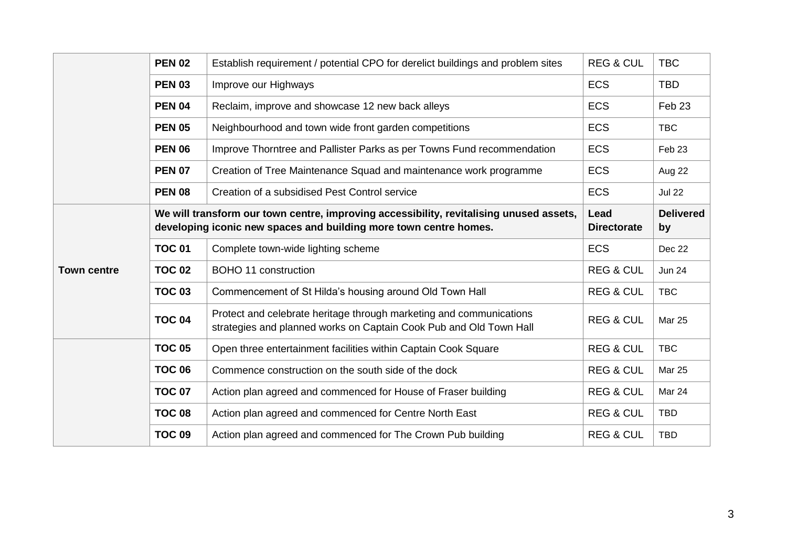|                    | <b>PEN 02</b> | Establish requirement / potential CPO for derelict buildings and problem sites                                                                               | <b>REG &amp; CUL</b>       | <b>TBC</b>             |
|--------------------|---------------|--------------------------------------------------------------------------------------------------------------------------------------------------------------|----------------------------|------------------------|
|                    | <b>PEN 03</b> | Improve our Highways                                                                                                                                         | <b>ECS</b>                 | <b>TBD</b>             |
|                    | <b>PEN 04</b> | Reclaim, improve and showcase 12 new back alleys                                                                                                             | <b>ECS</b>                 | Feb <sub>23</sub>      |
|                    | <b>PEN 05</b> | Neighbourhood and town wide front garden competitions                                                                                                        | <b>ECS</b>                 | <b>TBC</b>             |
|                    | <b>PEN 06</b> | Improve Thorntree and Pallister Parks as per Towns Fund recommendation                                                                                       | <b>ECS</b>                 | Feb <sub>23</sub>      |
|                    | <b>PEN 07</b> | Creation of Tree Maintenance Squad and maintenance work programme                                                                                            | <b>ECS</b>                 | Aug 22                 |
|                    | <b>PEN 08</b> | Creation of a subsidised Pest Control service                                                                                                                | <b>ECS</b>                 | <b>Jul 22</b>          |
| <b>Town centre</b> |               | We will transform our town centre, improving accessibility, revitalising unused assets,<br>developing iconic new spaces and building more town centre homes. | Lead<br><b>Directorate</b> | <b>Delivered</b><br>by |
|                    | <b>TOC 01</b> | Complete town-wide lighting scheme                                                                                                                           | <b>ECS</b>                 | Dec 22                 |
|                    | <b>TOC 02</b> | <b>BOHO 11 construction</b>                                                                                                                                  | <b>REG &amp; CUL</b>       | <b>Jun 24</b>          |
|                    | <b>TOC 03</b> | Commencement of St Hilda's housing around Old Town Hall                                                                                                      | <b>REG &amp; CUL</b>       | <b>TBC</b>             |
|                    | <b>TOC 04</b> | Protect and celebrate heritage through marketing and communications<br>strategies and planned works on Captain Cook Pub and Old Town Hall                    | <b>REG &amp; CUL</b>       | <b>Mar 25</b>          |
|                    | <b>TOC 05</b> | Open three entertainment facilities within Captain Cook Square                                                                                               | <b>REG &amp; CUL</b>       | <b>TBC</b>             |
|                    | <b>TOC 06</b> | Commence construction on the south side of the dock                                                                                                          | <b>REG &amp; CUL</b>       | <b>Mar 25</b>          |
|                    | <b>TOC 07</b> | Action plan agreed and commenced for House of Fraser building                                                                                                | <b>REG &amp; CUL</b>       | Mar 24                 |
|                    | <b>TOC 08</b> | Action plan agreed and commenced for Centre North East                                                                                                       | <b>REG &amp; CUL</b>       | <b>TBD</b>             |
|                    | <b>TOC 09</b> | Action plan agreed and commenced for The Crown Pub building                                                                                                  | <b>REG &amp; CUL</b>       | <b>TBD</b>             |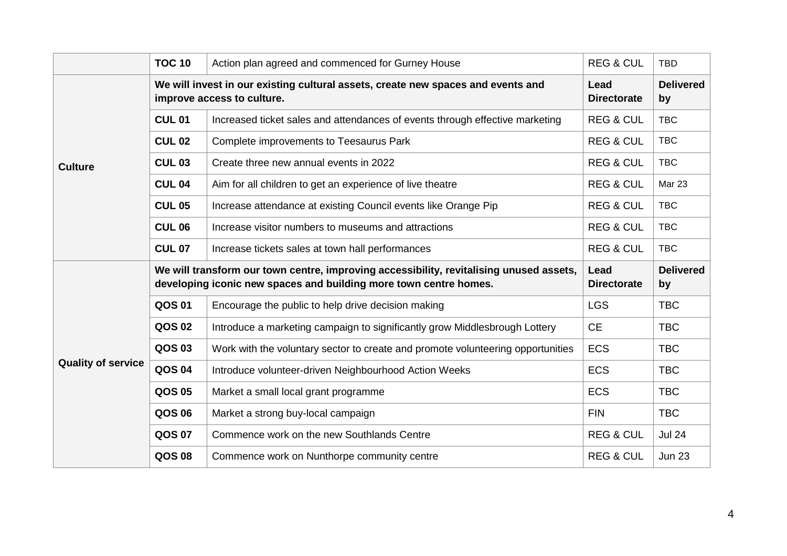|                           | <b>TOC 10</b>                                                                                                  | Action plan agreed and commenced for Gurney House                                                                                                            | <b>REG &amp; CUL</b>       | <b>TBD</b>             |
|---------------------------|----------------------------------------------------------------------------------------------------------------|--------------------------------------------------------------------------------------------------------------------------------------------------------------|----------------------------|------------------------|
| <b>Culture</b>            | We will invest in our existing cultural assets, create new spaces and events and<br>improve access to culture. |                                                                                                                                                              | Lead<br><b>Directorate</b> | <b>Delivered</b><br>by |
|                           | <b>CUL 01</b>                                                                                                  | Increased ticket sales and attendances of events through effective marketing                                                                                 | <b>REG &amp; CUL</b>       | <b>TBC</b>             |
|                           | <b>CUL 02</b>                                                                                                  | Complete improvements to Teesaurus Park                                                                                                                      | <b>REG &amp; CUL</b>       | <b>TBC</b>             |
|                           | <b>CUL 03</b>                                                                                                  | Create three new annual events in 2022                                                                                                                       | <b>REG &amp; CUL</b>       | <b>TBC</b>             |
|                           | <b>CUL 04</b>                                                                                                  | Aim for all children to get an experience of live theatre                                                                                                    | <b>REG &amp; CUL</b>       | <b>Mar 23</b>          |
|                           | <b>CUL 05</b>                                                                                                  | Increase attendance at existing Council events like Orange Pip                                                                                               | <b>REG &amp; CUL</b>       | <b>TBC</b>             |
|                           | <b>CUL 06</b>                                                                                                  | Increase visitor numbers to museums and attractions                                                                                                          | <b>REG &amp; CUL</b>       | <b>TBC</b>             |
|                           | <b>CUL 07</b>                                                                                                  | Increase tickets sales at town hall performances                                                                                                             | <b>REG &amp; CUL</b>       | <b>TBC</b>             |
|                           |                                                                                                                |                                                                                                                                                              |                            |                        |
|                           |                                                                                                                | We will transform our town centre, improving accessibility, revitalising unused assets,<br>developing iconic new spaces and building more town centre homes. | Lead<br><b>Directorate</b> | <b>Delivered</b><br>by |
|                           | QOS 01                                                                                                         | Encourage the public to help drive decision making                                                                                                           | <b>LGS</b>                 | <b>TBC</b>             |
|                           | <b>QOS 02</b>                                                                                                  | Introduce a marketing campaign to significantly grow Middlesbrough Lottery                                                                                   | <b>CE</b>                  | <b>TBC</b>             |
|                           | QOS 03                                                                                                         | Work with the voluntary sector to create and promote volunteering opportunities                                                                              | <b>ECS</b>                 | <b>TBC</b>             |
| <b>Quality of service</b> | <b>QOS 04</b>                                                                                                  | Introduce volunteer-driven Neighbourhood Action Weeks                                                                                                        | <b>ECS</b>                 | <b>TBC</b>             |
|                           | QOS 05                                                                                                         | Market a small local grant programme                                                                                                                         | <b>ECS</b>                 | <b>TBC</b>             |
|                           | <b>QOS 06</b>                                                                                                  | Market a strong buy-local campaign                                                                                                                           | <b>FIN</b>                 | <b>TBC</b>             |
|                           | <b>QOS 07</b>                                                                                                  | Commence work on the new Southlands Centre                                                                                                                   | <b>REG &amp; CUL</b>       | <b>Jul 24</b>          |